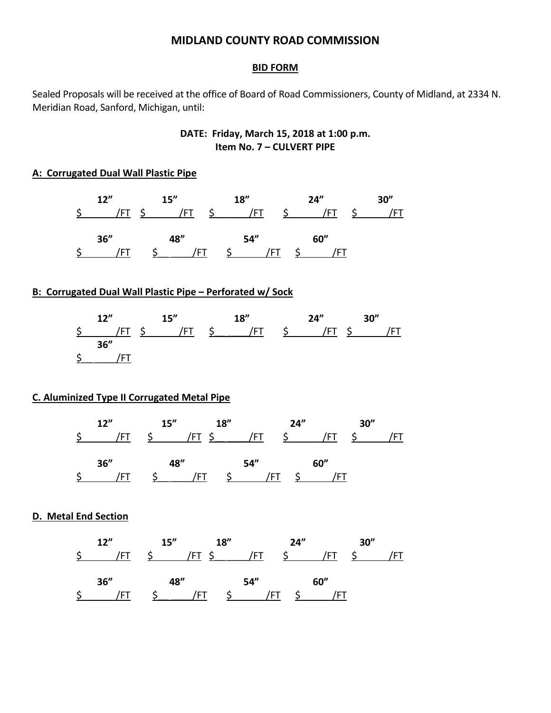# **MIDLAND COUNTY ROAD COMMISSION**

#### **BID FORM**

Sealed Proposals will be received at the office of Board of Road Commissioners, County of Midland, at 2334 N. Meridian Road, Sanford, Michigan, until:

# **DATE: Friday, March 15, 2018 at 1:00 p.m. Item No. 7 – CULVERT PIPE**

### **A: Corrugated Dual Wall Plastic Pipe**

|  | 12"  | 15'' |         | 18'' |     |                     | 24"  | 30'' |
|--|------|------|---------|------|-----|---------------------|------|------|
|  | /FT  | /FT  | $\zeta$ |      | /FT | $\ddot{\mathsf{S}}$ | /FT  |      |
|  | 36'' | 48"  |         | 54"  |     |                     | 60'' |      |
|  |      | /F I |         |      |     |                     |      |      |

### **B: Corrugated Dual Wall Plastic Pipe – Perforated w/ Sock**

| 12"  | 15'' | 18"                                | 24'' | 30'' |
|------|------|------------------------------------|------|------|
|      |      | \$ /FT \$ /FT \$ /FT \$ /FT \$ /FT |      |      |
| 36'' |      |                                    |      |      |
|      |      |                                    |      |      |

#### **C. Aluminized Type II Corrugated Metal Pipe**

|  | 12" | 15'' |        | 18''          | 24'' |           | 30'' |  |
|--|-----|------|--------|---------------|------|-----------|------|--|
|  | /FT |      |        | \$ /FT \$ /FT |      | \$    /FT |      |  |
|  | 36" | 48"  |        | 54"           |      | 60"       |      |  |
|  |     |      | $/$ FI |               | /F L |           |      |  |

### **D. Metal End Section**

|  | 12" | 15'' |                   | 18''                          | 24'' |      | 30'' |  |
|--|-----|------|-------------------|-------------------------------|------|------|------|--|
|  | /FT |      |                   | \$ /FT \$ /FT \$ /FT          |      |      |      |  |
|  | 36" | 48"  |                   | 54"                           |      | 60'' |      |  |
|  |     |      | $\Rightarrow$ /FI | $\zeta = \frac{\sqrt{FT}}{F}$ |      |      |      |  |